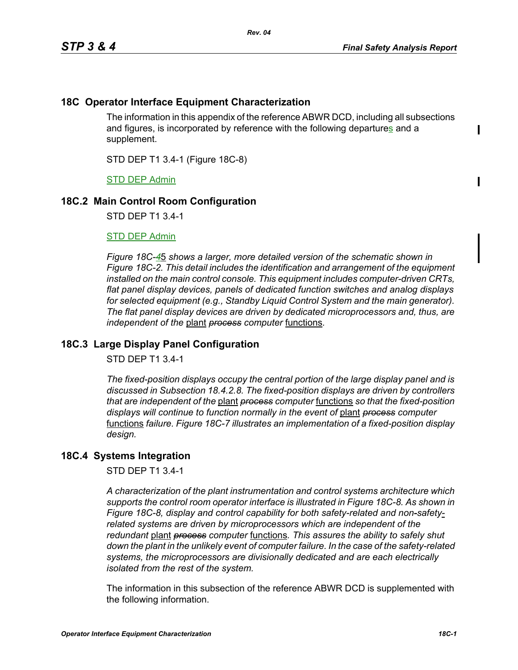# **18C Operator Interface Equipment Characterization**

The information in this appendix of the reference ABWR DCD, including all subsections and figures, is incorporated by reference with the following departures and a supplement.

STD DEP T1 3.4-1 (Figure 18C-8)

STD DEP Admin

## **18C.2 Main Control Room Configuration**

STD DEP T1 3.4-1

#### STD DEP Admin

*Figure 18C-4*5 *shows a larger, more detailed version of the schematic shown in Figure 18C-2. This detail includes the identification and arrangement of the equipment installed on the main control console. This equipment includes computer-driven CRTs, flat panel display devices, panels of dedicated function switches and analog displays for selected equipment (e.g., Standby Liquid Control System and the main generator). The flat panel display devices are driven by dedicated microprocessors and, thus, are independent of the* plant *process computer* functions*.*

# **18C.3 Large Display Panel Configuration**

STD DEP T1 3.4-1

*The fixed-position displays occupy the central portion of the large display panel and is discussed in Subsection 18.4.2.8. The fixed-position displays are driven by controllers that are independent of the* plant *process computer* functions *so that the fixed-position displays will continue to function normally in the event of* plant *process computer*  functions *failure. Figure 18C-7 illustrates an implementation of a fixed-position display design.*

## **18C.4 Systems Integration**

STD DEP T1 3.4-1

*A characterization of the plant instrumentation and control systems architecture which supports the control room operator interface is illustrated in Figure 18C-8. As shown in Figure 18C-8, display and control capability for both safety-related and non-safetyrelated systems are driven by microprocessors which are independent of the redundant* plant *process computer* functions*. This assures the ability to safely shut down the plant in the unlikely event of computer failure. In the case of the safety-related systems, the microprocessors are divisionally dedicated and are each electrically isolated from the rest of the system.*

The information in this subsection of the reference ABWR DCD is supplemented with the following information.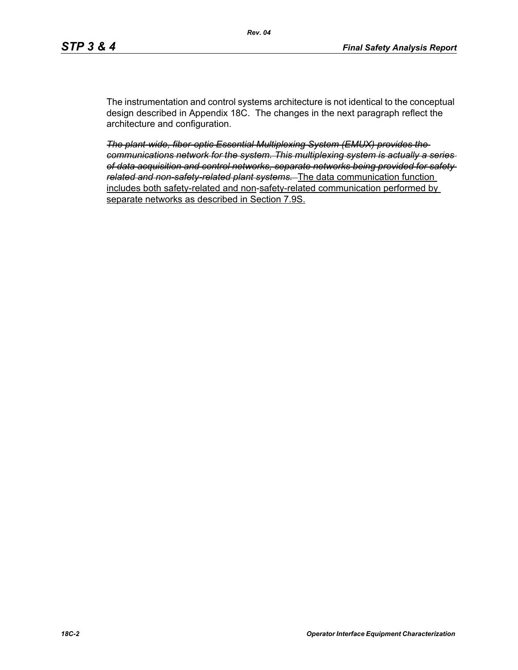The instrumentation and control systems architecture is not identical to the conceptual design described in Appendix 18C. The changes in the next paragraph reflect the architecture and configuration.

*The plant-wide, fiber-optic Essential Multiplexing System (EMUX) provides the communications network for the system. This multiplexing system is actually a series of data acquisition and control networks, separate networks being provided for safety related and non-safety-related plant systems.* The data communication function includes both safety-related and non-safety-related communication performed by separate networks as described in Section 7.9S.